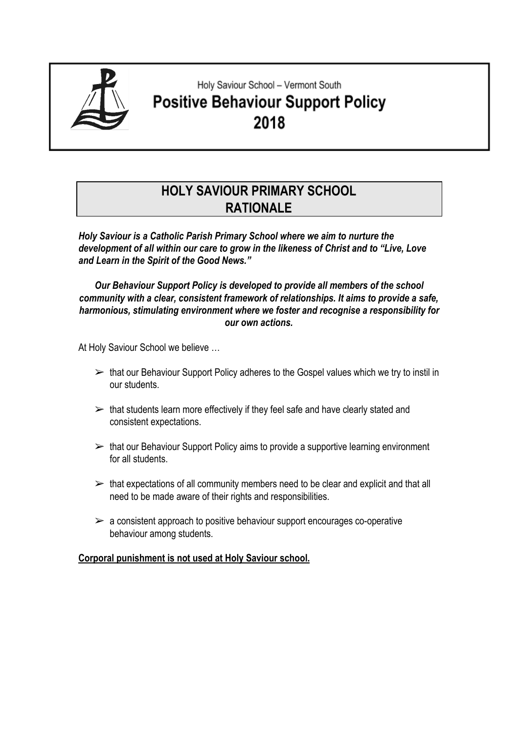

# Holy Saviour School - Vermont South **Positive Behaviour Support Policy** 2018

# **HOLY SAVIOUR PRIMARY SCHOOL RATIONALE**

*Holy Saviour is a Catholic Parish Primary School where we aim to nurture the development of all within our care to grow in the likeness of Christ and to "Live, Love and Learn in the Spirit of the Good News."*

*Our Behaviour Support Policy is developed to provide all members of the school community with a clear, consistent framework of relationships. It aims to provide a safe, harmonious, stimulating environment where we foster and recognise a responsibility for our own actions.*

At Holy Saviour School we believe …

- $\triangleright$  that our Behaviour Support Policy adheres to the Gospel values which we try to instil in our students.
- $\triangleright$  that students learn more effectively if they feel safe and have clearly stated and consistent expectations.
- $\triangleright$  that our Behaviour Support Policy aims to provide a supportive learning environment for all students.
- $\triangleright$  that expectations of all community members need to be clear and explicit and that all need to be made aware of their rights and responsibilities.
- $\triangleright$  a consistent approach to positive behaviour support encourages co-operative behaviour among students.

#### **Corporal punishment is not used at Holy Saviour school.**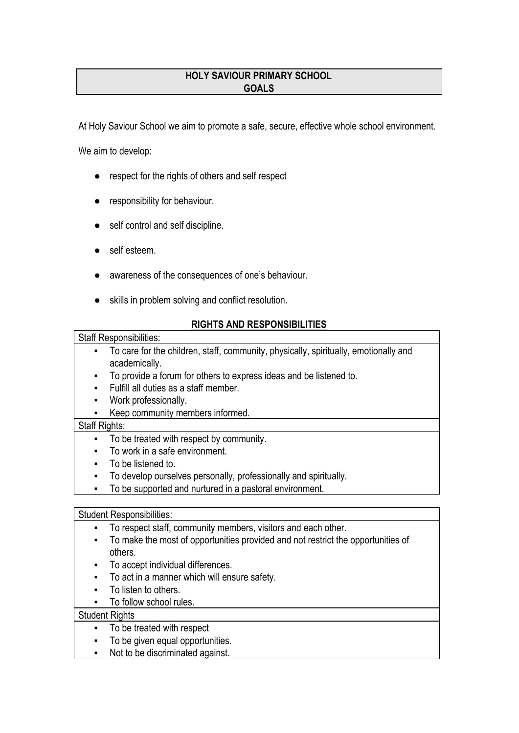# **HOLY SAVIOUR PRIMARY SCHOOL GOALS**

At Holy Saviour School we aim to promote a safe, secure, effective whole school environment.

We aim to develop:

- respect for the rights of others and self respect
- **•** responsibility for behaviour.
- self control and self discipline.
- self esteem.
- awareness of the consequences of one's behaviour.
- skills in problem solving and conflict resolution.

# **RIGHTS AND RESPONSIBILITIES**

#### Staff Responsibilities:

- To care for the children, staff, community, physically, spiritually, emotionally and academically.
	- To provide a forum for others to express ideas and be listened to.
	- Fulfill all duties as a staff member.
	- Work professionally.
	- Keep community members informed.

#### Staff Rights:

- To be treated with respect by community.
- To work in a safe environment.
- To be listened to.
- To develop ourselves personally, professionally and spiritually.
- To be supported and nurtured in a pastoral environment.

#### Student Responsibilities:

- To respect staff, community members, visitors and each other.
- To make the most of opportunities provided and not restrict the opportunities of others.
- To accept individual differences.
- To act in a manner which will ensure safety.
- To listen to others.
- To follow school rules.

## **Student Rights**

- To be treated with respect
- To be given equal opportunities.
- Not to be discriminated against.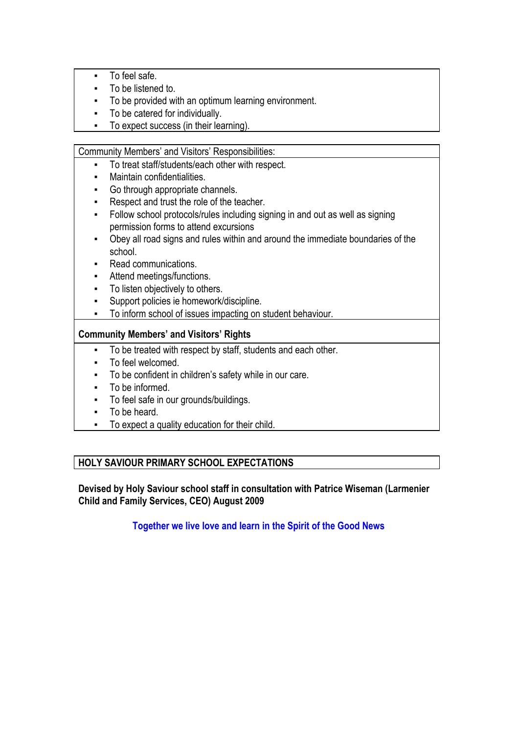- To feel safe.
- To be listened to.
- To be provided with an optimum learning environment.
- To be catered for individually.
- To expect success (in their learning).

#### Community Members' and Visitors' Responsibilities:

- To treat staff/students/each other with respect.
- Maintain confidentialities.
- Go through appropriate channels.
- Respect and trust the role of the teacher.
- **•** Follow school protocols/rules including signing in and out as well as signing permission forms to attend excursions
- Obey all road signs and rules within and around the immediate boundaries of the school.
- Read communications.
- Attend meetings/functions.
- To listen objectively to others.
- Support policies ie homework/discipline.
- To inform school of issues impacting on student behaviour.

# **Community Members' and Visitors' Rights**

- To be treated with respect by staff, students and each other.
- To feel welcomed.
- To be confident in children's safety while in our care.
- To be informed.
- To feel safe in our grounds/buildings.
- To be heard.
- To expect a quality education for their child.

# **HOLY SAVIOUR PRIMARY SCHOOL EXPECTATIONS**

**Devised by Holy Saviour school staff in consultation with Patrice Wiseman (Larmenier Child and Family Services, CEO) August 2009**

**Together we live love and learn in the Spirit of the Good News**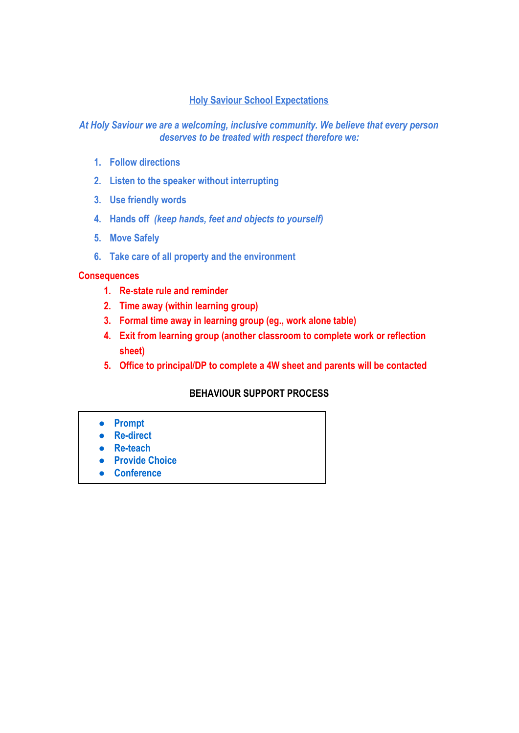## **Holy Saviour School Expectations**

## *At Holy Saviour we are a welcoming, inclusive community. We believe that every person deserves to be treated with respect therefore we:*

- **1. Follow directions**
- **2. Listen to the speaker without interrupting**
- **3. Use friendly words**
- **4. Hands off** *(keep hands, feet and objects to yourself)*
- **5. Move Safely**
- **6. Take care of all property and the environment**

#### **Consequences**

- **1. Re-state rule and reminder**
- **2. Time away (within learning group)**
- **3. Formal time away in learning group (eg., work alone table)**
- **4. Exit from learning group (another classroom to complete work or reflection sheet)**
- **5. Office to principal/DP to complete a 4W sheet and parents will be contacted**

## **BEHAVIOUR SUPPORT PROCESS**

- **● Prompt**
- **● Re-direct**
- **● Re-teach**
- **● Provide Choice**
- **● Conference**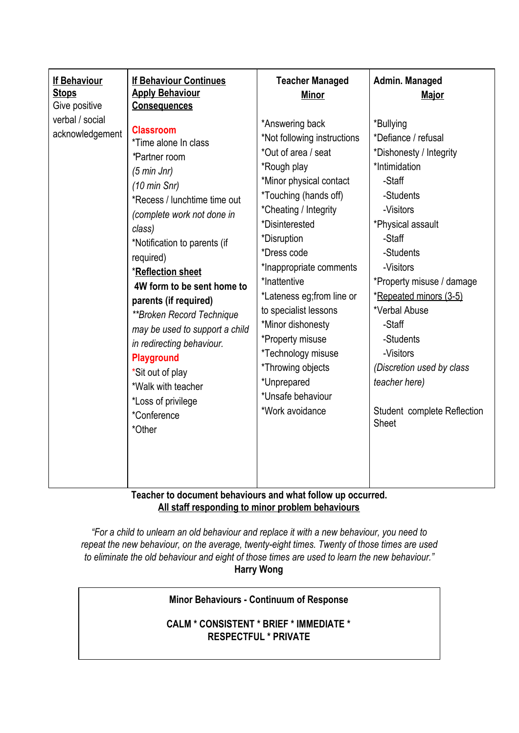| -Visitors<br>*Inappropriate comments<br>*Reflection sheet<br>*Inattentive<br>*Property misuse / damage<br>4W form to be sent home to<br>*Lateness eg; from line or<br>*Repeated minors (3-5)<br>parents (if required)<br>*Verbal Abuse<br>to specialist lessons<br>**Broken Record Technique<br>*Minor dishonesty<br>-Staff<br>may be used to support a child<br>*Property misuse<br>-Students<br>in redirecting behaviour.<br>*Technology misuse<br>-Visitors<br><b>Playground</b><br>*Throwing objects<br>(Discretion used by class<br>*Sit out of play<br>*Unprepared<br>teacher here)<br>*Walk with teacher<br>*Unsafe behaviour<br>*Loss of privilege<br>*Work avoidance<br>Student complete Reflection<br>*Conference<br>Sheet<br>*Other | <b>If Behaviour</b><br><b>Stops</b><br>Give positive<br>verbal / social<br>acknowledgement | <b>If Behaviour Continues</b><br><b>Apply Behaviour</b><br><b>Consequences</b><br><b>Classroom</b><br>*Time alone In class<br>*Partner room<br>$(5 \text{ min} \text{ Jnr})$<br>$(10 \text{ min Snr})$<br>*Recess / lunchtime time out<br>(complete work not done in<br>class)<br>*Notification to parents (if | <b>Teacher Managed</b><br><b>Minor</b><br>*Answering back<br>*Not following instructions<br>*Out of area / seat<br>*Rough play<br>*Minor physical contact<br><i>*Touching (hands off)</i><br>*Cheating / Integrity<br>*Disinterested<br>*Disruption | Admin. Managed<br><b>Major</b><br>*Bullying<br>*Defiance / refusal<br>*Dishonesty / Integrity<br>*Intimidation<br>-Staff<br>-Students<br>-Visitors<br>*Physical assault<br>-Staff |
|------------------------------------------------------------------------------------------------------------------------------------------------------------------------------------------------------------------------------------------------------------------------------------------------------------------------------------------------------------------------------------------------------------------------------------------------------------------------------------------------------------------------------------------------------------------------------------------------------------------------------------------------------------------------------------------------------------------------------------------------|--------------------------------------------------------------------------------------------|----------------------------------------------------------------------------------------------------------------------------------------------------------------------------------------------------------------------------------------------------------------------------------------------------------------|-----------------------------------------------------------------------------------------------------------------------------------------------------------------------------------------------------------------------------------------------------|-----------------------------------------------------------------------------------------------------------------------------------------------------------------------------------|
|                                                                                                                                                                                                                                                                                                                                                                                                                                                                                                                                                                                                                                                                                                                                                |                                                                                            | required)<br>$\mathbf{A}$ and $\mathbf{A}$ and $\mathbf{A}$ and $\mathbf{A}$                                                                                                                                                                                                                                   | *Dress code                                                                                                                                                                                                                                         | -Students                                                                                                                                                                         |

**Teacher to document behaviours and what follow up occurred. All staff responding to minor problem behaviours**

*"For a child to unlearn an old behaviour and replace it with a new behaviour, you need to repeat the new behaviour, on the average, twenty-eight times. Twenty of those times are used to eliminate the old behaviour and eight of those times are used to learn the new behaviour."* **Harry Wong**

#### **Minor Behaviours - Continuum of Response**

**CALM \* CONSISTENT \* BRIEF \* IMMEDIATE \* RESPECTFUL \* PRIVATE**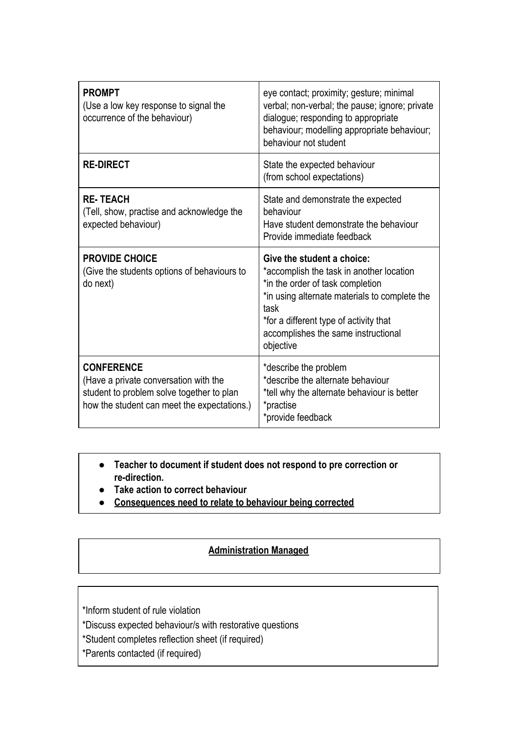| <b>PROMPT</b><br>(Use a low key response to signal the<br>occurrence of the behaviour)                                                                 | eye contact; proximity; gesture; minimal<br>verbal; non-verbal; the pause; ignore; private<br>dialogue; responding to appropriate<br>behaviour; modelling appropriate behaviour;<br>behaviour not student                                                         |  |
|--------------------------------------------------------------------------------------------------------------------------------------------------------|-------------------------------------------------------------------------------------------------------------------------------------------------------------------------------------------------------------------------------------------------------------------|--|
| <b>RE-DIRECT</b>                                                                                                                                       | State the expected behaviour<br>(from school expectations)                                                                                                                                                                                                        |  |
| <b>RE-TEACH</b><br>(Tell, show, practise and acknowledge the<br>expected behaviour)                                                                    | State and demonstrate the expected<br>behaviour<br>Have student demonstrate the behaviour<br>Provide immediate feedback                                                                                                                                           |  |
| <b>PROVIDE CHOICE</b><br>(Give the students options of behaviours to<br>do next)                                                                       | Give the student a choice:<br>*accomplish the task in another location<br>*in the order of task completion<br>*in using alternate materials to complete the<br>task<br>*for a different type of activity that<br>accomplishes the same instructional<br>objective |  |
| <b>CONFERENCE</b><br>(Have a private conversation with the<br>student to problem solve together to plan<br>how the student can meet the expectations.) | *describe the problem<br>*describe the alternate behaviour<br>*tell why the alternate behaviour is better<br>*practise<br>*provide feedback                                                                                                                       |  |

- **● Teacher to document if student does not respond to pre correction or re-direction.**
- **● Take action to correct behaviour**
- **● Consequences need to relate to behaviour being corrected**

# **Administration Managed**

\*Inform student of rule violation

- \*Discuss expected behaviour/s with restorative questions
- \*Student completes reflection sheet (if required)
- \*Parents contacted (if required)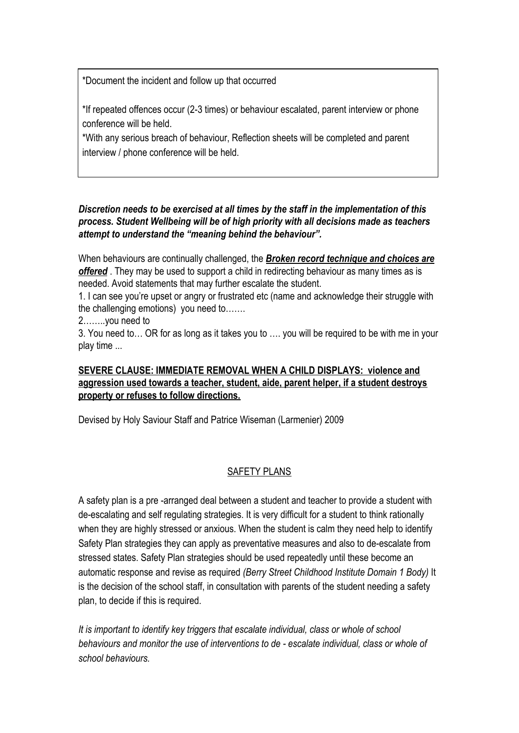\*Document the incident and follow up that occurred

\*If repeated offences occur (2-3 times) or behaviour escalated, parent interview or phone conference will be held.

\*With any serious breach of behaviour, Reflection sheets will be completed and parent interview / phone conference will be held.

# *Discretion needs to be exercised at all times by the staff in the implementation of this process. Student Wellbeing will be of high priority with all decisions made as teachers attempt to understand the "meaning behind the behaviour".*

When behaviours are continually challenged, the *Broken record technique and choices are offered* . They may be used to support a child in redirecting behaviour as many times as is needed. Avoid statements that may further escalate the student.

1. I can see you're upset or angry or frustrated etc (name and acknowledge their struggle with the challenging emotions) you need to…….

2……..you need to

3. You need to… OR for as long as it takes you to …. you will be required to be with me in your play time ...

# **SEVERE CLAUSE: IMMEDIATE REMOVAL WHEN A CHILD DISPLAYS: violence and aggression used towards a teacher, student, aide, parent helper, if a student destroys property or refuses to follow directions.**

Devised by Holy Saviour Staff and Patrice Wiseman (Larmenier) 2009

#### SAFETY PLANS

A safety plan is a pre -arranged deal between a student and teacher to provide a student with de-escalating and self regulating strategies. It is very difficult for a student to think rationally when they are highly stressed or anxious. When the student is calm they need help to identify Safety Plan strategies they can apply as preventative measures and also to de-escalate from stressed states. Safety Plan strategies should be used repeatedly until these become an automatic response and revise as required *(Berry Street Childhood Institute Domain 1 Body)* It is the decision of the school staff, in consultation with parents of the student needing a safety plan, to decide if this is required.

*It is important to identify key triggers that escalate individual, class or whole of school behaviours and monitor the use of interventions to de - escalate individual, class or whole of school behaviours.*